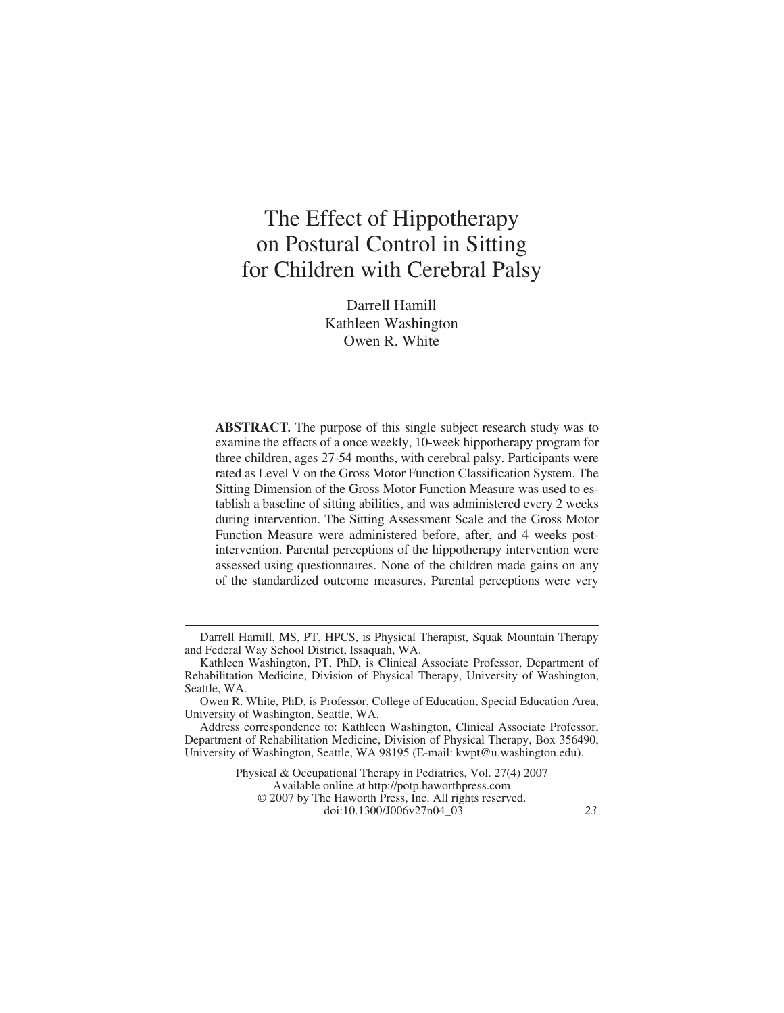# The Effect of Hippotherapy on Postural Control in Sitting for Children with Cerebral Palsy

Darrell Hamill Kathleen Washington Owen R. White

**ABSTRACT***.* The purpose of this single subject research study was to examine the effects of a once weekly, 10-week hippotherapy program for three children, ages 27-54 months, with cerebral palsy. Participants were rated as Level V on the Gross Motor Function Classification System. The Sitting Dimension of the Gross Motor Function Measure was used to establish a baseline of sitting abilities, and was administered every 2 weeks during intervention. The Sitting Assessment Scale and the Gross Motor Function Measure were administered before, after, and 4 weeks postintervention. Parental perceptions of the hippotherapy intervention were assessed using questionnaires. None of the children made gains on any of the standardized outcome measures. Parental perceptions were very

Darrell Hamill, MS, PT, HPCS, is Physical Therapist, Squak Mountain Therapy and Federal Way School District, Issaquah, WA.

Kathleen Washington, PT, PhD, is Clinical Associate Professor, Department of Rehabilitation Medicine, Division of Physical Therapy, University of Washington, Seattle, WA.

Owen R. White, PhD, is Professor, College of Education, Special Education Area, University of Washington, Seattle, WA.

Address correspondence to: Kathleen Washington, Clinical Associate Professor, Department of Rehabilitation Medicine, Division of Physical Therapy, Box 356490, University of Washington, Seattle, WA 98195 (E-mail: [kwpt@u.washington.edu\).](mailto:kwpt@u.washington.edu)

Physical & Occupational Therapy in Pediatrics, Vol. 27(4) 2007 Available online at <http://potp.haworthpress.com> © 2007 by The Haworth Press, Inc. All rights reserved. doi:10.1300/J006v27n04\_03 *23*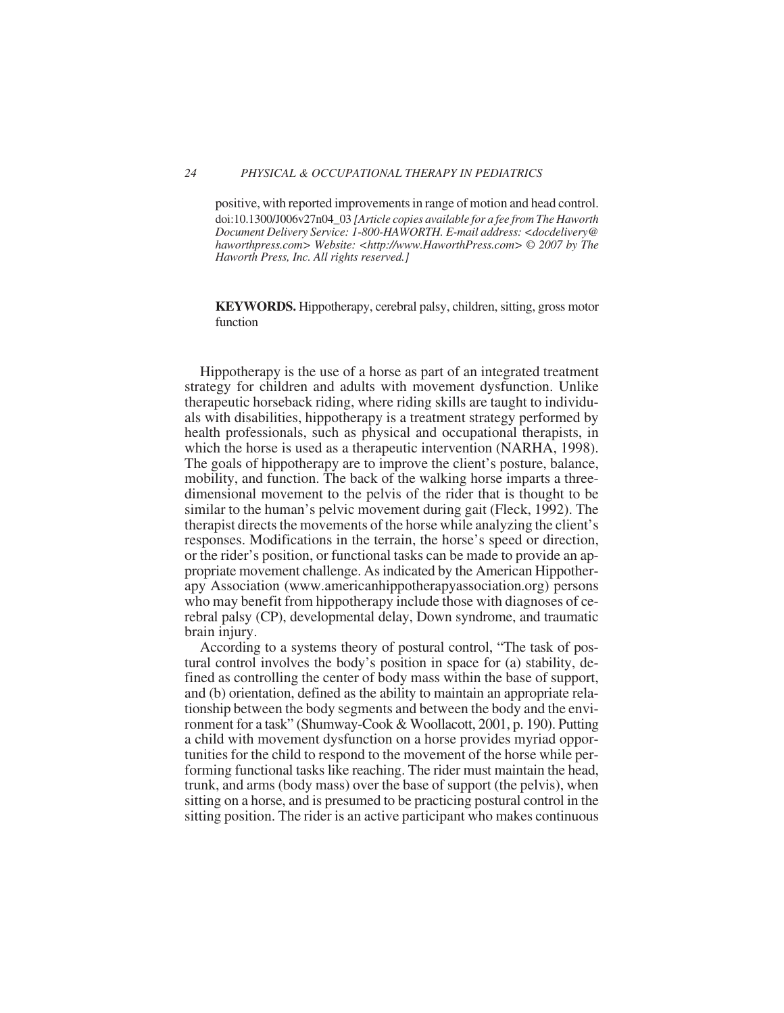positive, with reported improvements in range of motion and head control. doi:10.1300/J006v27n04\_03 *[Article copies available for a fee from The Haworth Document Delivery Service: 1-800-HAWORTH. E-mail address: <docdelivery@ haworthpress.com> Website: [<http://www.HaworthPress.com>](http://www.HaworthPress.com) © 2007 by The Haworth Press, Inc. All rights reserved.]*

**KEYWORDS.** Hippotherapy, cerebral palsy, children, sitting, gross motor function

Hippotherapy is the use of a horse as part of an integrated treatment strategy for children and adults with movement dysfunction. Unlike therapeutic horseback riding, where riding skills are taught to individuals with disabilities, hippotherapy is a treatment strategy performed by health professionals, such as physical and occupational therapists, in which the horse is used as a therapeutic intervention (NARHA, 1998). The goals of hippotherapy are to improve the client's posture, balance, mobility, and function. The back of the walking horse imparts a threedimensional movement to the pelvis of the rider that is thought to be similar to the human's pelvic movement during gait (Fleck, 1992). The therapist directs the movements of the horse while analyzing the client's responses. Modifications in the terrain, the horse's speed or direction, or the rider's position, or functional tasks can be made to provide an appropriate movement challenge. As indicated by the American Hippotherapy Association ([www.americanhippotherapyassociation.org\)](http://www.americanhippotherapyassociation.org) persons who may benefit from hippotherapy include those with diagnoses of cerebral palsy (CP), developmental delay, Down syndrome, and traumatic brain injury.

According to a systems theory of postural control, "The task of postural control involves the body's position in space for (a) stability, defined as controlling the center of body mass within the base of support, and (b) orientation, defined as the ability to maintain an appropriate relationship between the body segments and between the body and the environment for a task" (Shumway-Cook & Woollacott, 2001, p. 190). Putting a child with movement dysfunction on a horse provides myriad opportunities for the child to respond to the movement of the horse while performing functional tasks like reaching. The rider must maintain the head, trunk, and arms (body mass) over the base of support (the pelvis), when sitting on a horse, and is presumed to be practicing postural control in the sitting position. The rider is an active participant who makes continuous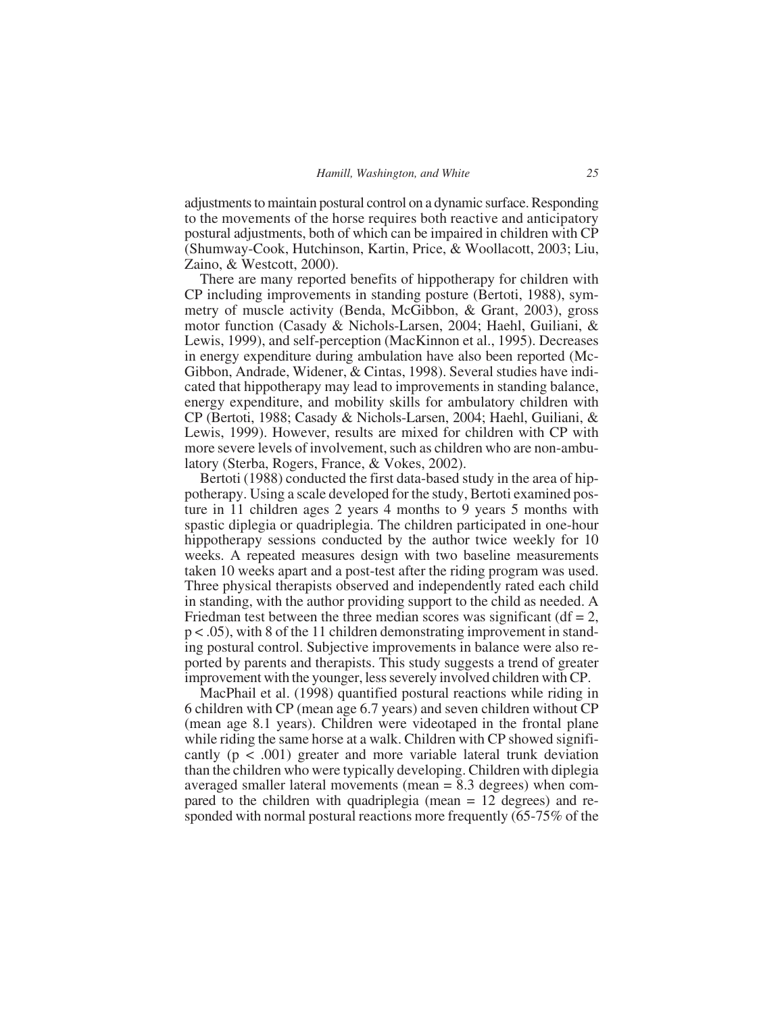adjustments to maintain postural control on a dynamic surface. Responding to the movements of the horse requires both reactive and anticipatory postural adjustments, both of which can be impaired in children with CP (Shumway-Cook, Hutchinson, Kartin, Price, & Woollacott, 2003; Liu, Zaino, & Westcott, 2000).

There are many reported benefits of hippotherapy for children with CP including improvements in standing posture (Bertoti, 1988), symmetry of muscle activity (Benda, McGibbon, & Grant, 2003), gross motor function (Casady & Nichols-Larsen, 2004; Haehl, Guiliani, & Lewis, 1999), and self-perception (MacKinnon et al., 1995). Decreases in energy expenditure during ambulation have also been reported (Mc-Gibbon, Andrade, Widener, & Cintas, 1998). Several studies have indicated that hippotherapy may lead to improvements in standing balance, energy expenditure, and mobility skills for ambulatory children with CP (Bertoti, 1988; Casady & Nichols-Larsen, 2004; Haehl, Guiliani, & Lewis, 1999). However, results are mixed for children with CP with more severe levels of involvement, such as children who are non-ambulatory (Sterba, Rogers, France, & Vokes, 2002).

Bertoti (1988) conducted the first data-based study in the area of hippotherapy. Using a scale developed for the study, Bertoti examined posture in 11 children ages 2 years 4 months to 9 years 5 months with spastic diplegia or quadriplegia. The children participated in one-hour hippotherapy sessions conducted by the author twice weekly for 10 weeks. A repeated measures design with two baseline measurements taken 10 weeks apart and a post-test after the riding program was used. Three physical therapists observed and independently rated each child in standing, with the author providing support to the child as needed. A Friedman test between the three median scores was significant ( $df = 2$ , p < .05), with 8 of the 11 children demonstrating improvement in standing postural control. Subjective improvements in balance were also reported by parents and therapists. This study suggests a trend of greater improvement with the younger, less severely involved children with CP.

MacPhail et al. (1998) quantified postural reactions while riding in 6 children with CP (mean age 6.7 years) and seven children without CP (mean age 8.1 years). Children were videotaped in the frontal plane while riding the same horse at a walk. Children with CP showed significantly ( $p < .001$ ) greater and more variable lateral trunk deviation than the children who were typically developing. Children with diplegia averaged smaller lateral movements (mean = 8.3 degrees) when compared to the children with quadriplegia (mean = 12 degrees) and responded with normal postural reactions more frequently (65-75% of the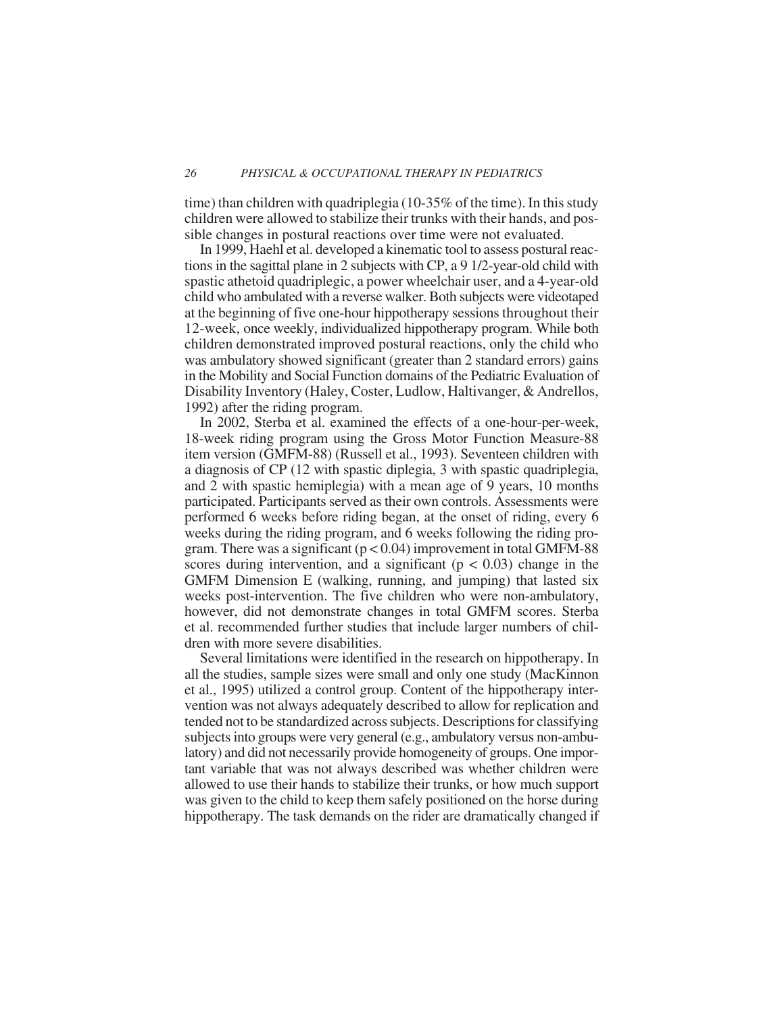time) than children with quadriplegia (10-35% of the time). In this study children were allowed to stabilize their trunks with their hands, and possible changes in postural reactions over time were not evaluated.

In 1999, Haehl et al. developed a kinematic tool to assess postural reactions in the sagittal plane in 2 subjects with CP, a 9 1/2-year-old child with spastic athetoid quadriplegic, a power wheelchair user, and a 4-year-old child who ambulated with a reverse walker. Both subjects were videotaped at the beginning of five one-hour hippotherapy sessions throughout their 12-week, once weekly, individualized hippotherapy program. While both children demonstrated improved postural reactions, only the child who was ambulatory showed significant (greater than 2 standard errors) gains in the Mobility and Social Function domains of the Pediatric Evaluation of Disability Inventory (Haley, Coster, Ludlow, Haltivanger, & Andrellos, 1992) after the riding program.

In 2002, Sterba et al. examined the effects of a one-hour-per-week, 18-week riding program using the Gross Motor Function Measure-88 item version (GMFM-88) (Russell et al., 1993). Seventeen children with a diagnosis of CP (12 with spastic diplegia, 3 with spastic quadriplegia, and 2 with spastic hemiplegia) with a mean age of 9 years, 10 months participated. Participants served as their own controls. Assessments were performed 6 weeks before riding began, at the onset of riding, every 6 weeks during the riding program, and 6 weeks following the riding program. There was a significant  $(p < 0.04)$  improvement in total GMFM-88 scores during intervention, and a significant ( $p < 0.03$ ) change in the GMFM Dimension E (walking, running, and jumping) that lasted six weeks post-intervention. The five children who were non-ambulatory, however, did not demonstrate changes in total GMFM scores. Sterba et al. recommended further studies that include larger numbers of children with more severe disabilities.

Several limitations were identified in the research on hippotherapy. In all the studies, sample sizes were small and only one study (MacKinnon et al., 1995) utilized a control group. Content of the hippotherapy intervention was not always adequately described to allow for replication and tended not to be standardized across subjects. Descriptions for classifying subjects into groups were very general (e.g., ambulatory versus non-ambulatory) and did not necessarily provide homogeneity of groups. One important variable that was not always described was whether children were allowed to use their hands to stabilize their trunks, or how much support was given to the child to keep them safely positioned on the horse during hippotherapy. The task demands on the rider are dramatically changed if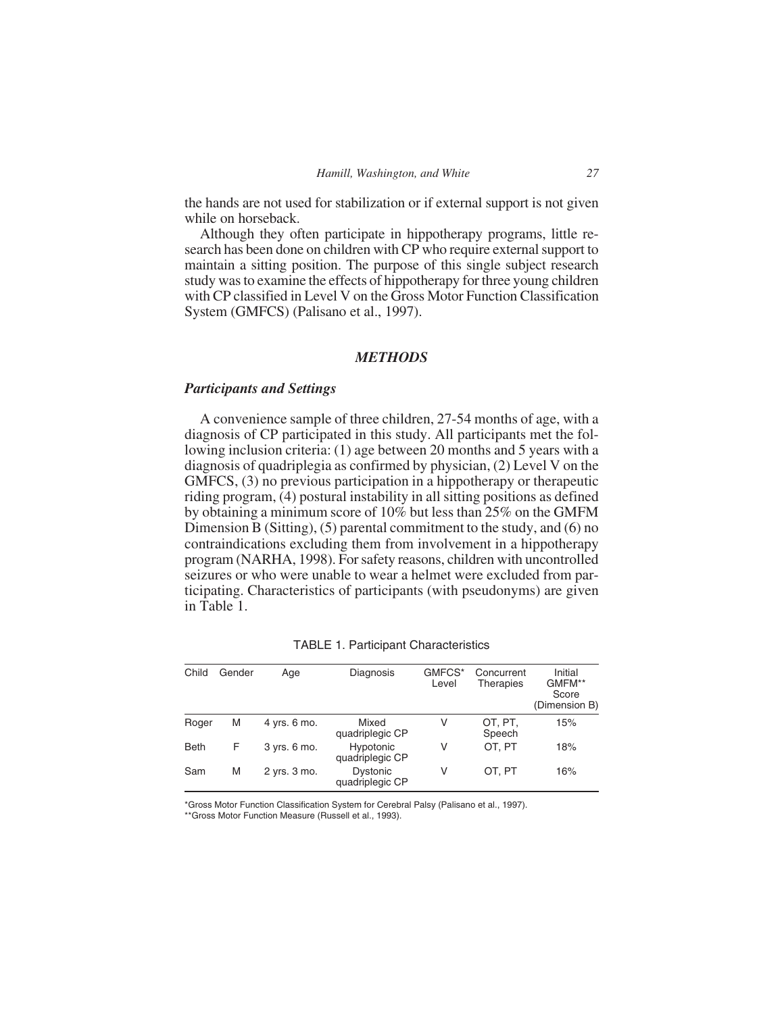the hands are not used for stabilization or if external support is not given while on horseback.

Although they often participate in hippotherapy programs, little research has been done on children with CP who require external support to maintain a sitting position. The purpose of this single subject research study was to examine the effects of hippotherapy for three young children with CP classified in Level V on the Gross Motor Function Classification System (GMFCS) (Palisano et al., 1997).

# *METHODS*

### *Participants and Settings*

A convenience sample of three children, 27-54 months of age, with a diagnosis of CP participated in this study. All participants met the following inclusion criteria: (1) age between 20 months and 5 years with a diagnosis of quadriplegia as confirmed by physician, (2) Level V on the GMFCS, (3) no previous participation in a hippotherapy or therapeutic riding program, (4) postural instability in all sitting positions as defined by obtaining a minimum score of 10% but less than 25% on the GMFM Dimension B (Sitting), (5) parental commitment to the study, and (6) no contraindications excluding them from involvement in a hippotherapy program (NARHA, 1998). For safety reasons, children with uncontrolled seizures or who were unable to wear a helmet were excluded from participating. Characteristics of participants (with pseudonyms) are given in Table 1.

| Child       | Gender | Age          | Diagnosis                    | GMFCS*<br>Level | Concurrent<br><b>Therapies</b> | Initial<br>GMFM**<br>Score<br>(Dimension B) |
|-------------|--------|--------------|------------------------------|-----------------|--------------------------------|---------------------------------------------|
| Roger       | M      | 4 yrs. 6 mo. | Mixed<br>quadriplegic CP     | V               | OT. PT.<br>Speech              | 15%                                         |
| <b>Beth</b> | F      | 3 yrs. 6 mo. | Hypotonic<br>quadriplegic CP | V               | OT, PT                         | 18%                                         |
| Sam         | M      | 2 yrs. 3 mo. | Dystonic<br>quadriplegic CP  | V               | OT, PT                         | 16%                                         |

TABLE 1. Participant Characteristics

\*Gross Motor Function Classification System for Cerebral Palsy (Palisano et al., 1997).

\*\*Gross Motor Function Measure (Russell et al., 1993).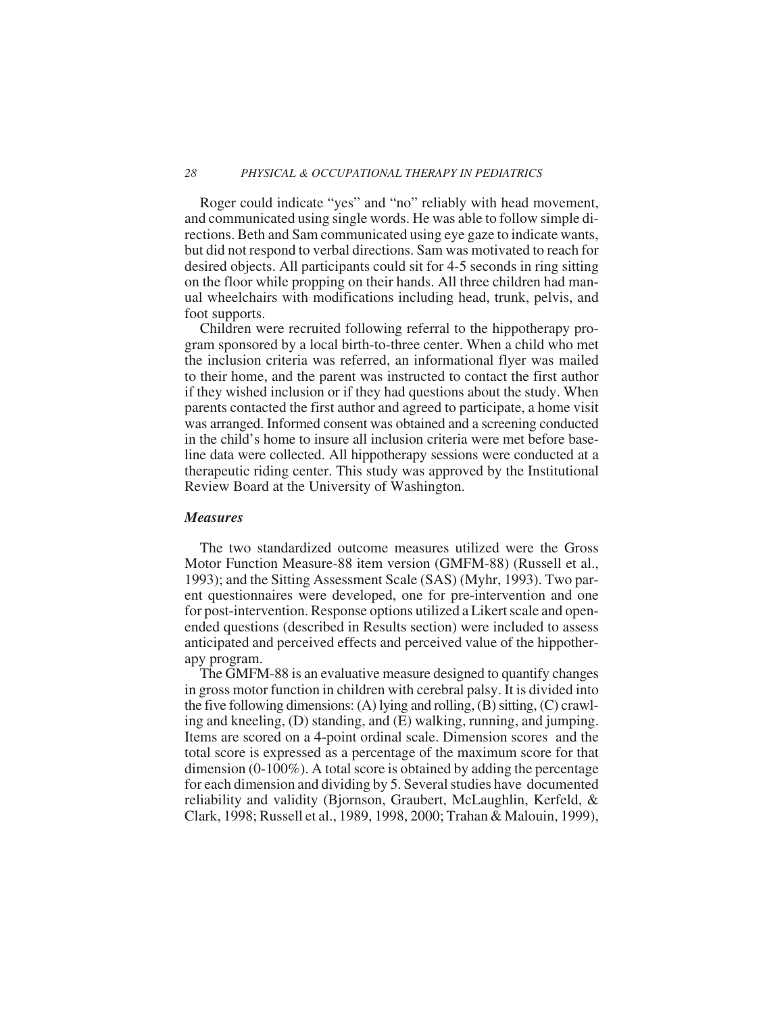Roger could indicate "yes" and "no" reliably with head movement, and communicated using single words. He was able to follow simple directions. Beth and Sam communicated using eye gaze to indicate wants, but did not respond to verbal directions. Sam was motivated to reach for desired objects. All participants could sit for 4-5 seconds in ring sitting on the floor while propping on their hands. All three children had manual wheelchairs with modifications including head, trunk, pelvis, and foot supports.

Children were recruited following referral to the hippotherapy program sponsored by a local birth-to-three center. When a child who met the inclusion criteria was referred, an informational flyer was mailed to their home, and the parent was instructed to contact the first author if they wished inclusion or if they had questions about the study. When parents contacted the first author and agreed to participate, a home visit was arranged. Informed consent was obtained and a screening conducted in the child's home to insure all inclusion criteria were met before baseline data were collected. All hippotherapy sessions were conducted at a therapeutic riding center. This study was approved by the Institutional Review Board at the University of Washington.

## *Measures*

The two standardized outcome measures utilized were the Gross Motor Function Measure-88 item version (GMFM-88) (Russell et al., 1993); and the Sitting Assessment Scale (SAS) (Myhr, 1993). Two parent questionnaires were developed, one for pre-intervention and one for post-intervention. Response options utilized a Likert scale and openended questions (described in Results section) were included to assess anticipated and perceived effects and perceived value of the hippotherapy program.

The GMFM-88 is an evaluative measure designed to quantify changes in gross motor function in children with cerebral palsy. It is divided into the five following dimensions: (A) lying and rolling, (B) sitting, (C) crawling and kneeling, (D) standing, and (E) walking, running, and jumping. Items are scored on a 4-point ordinal scale. Dimension scores and the total score is expressed as a percentage of the maximum score for that dimension (0-100%). A total score is obtained by adding the percentage for each dimension and dividing by 5. Several studies have documented reliability and validity (Bjornson, Graubert, McLaughlin, Kerfeld, & Clark, 1998; Russell et al., 1989, 1998, 2000; Trahan & Malouin, 1999),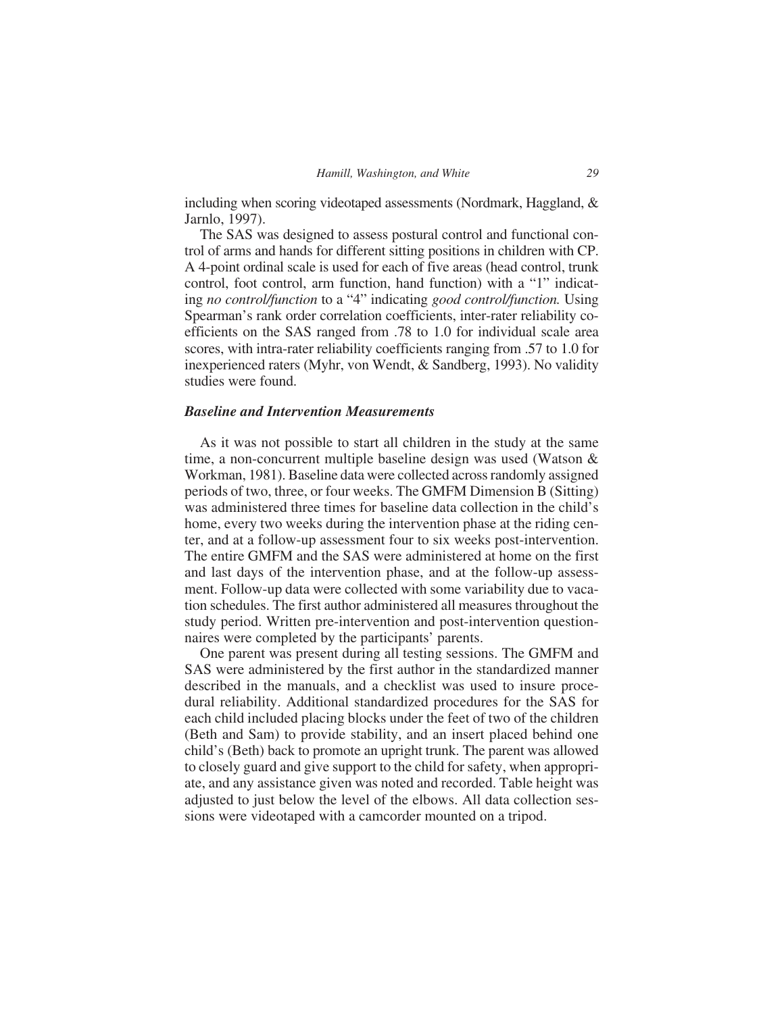including when scoring videotaped assessments (Nordmark, Haggland, & Jarnlo, 1997).

The SAS was designed to assess postural control and functional control of arms and hands for different sitting positions in children with CP. A 4-point ordinal scale is used for each of five areas (head control, trunk control, foot control, arm function, hand function) with a "1" indicating *no control/function* to a "4" indicating *good control/function.* Using Spearman's rank order correlation coefficients, inter-rater reliability coefficients on the SAS ranged from .78 to 1.0 for individual scale area scores, with intra-rater reliability coefficients ranging from .57 to 1.0 for inexperienced raters (Myhr, von Wendt, & Sandberg, 1993). No validity studies were found.

## *Baseline and Intervention Measurements*

As it was not possible to start all children in the study at the same time, a non-concurrent multiple baseline design was used (Watson & Workman, 1981). Baseline data were collected across randomly assigned periods of two, three, or four weeks. The GMFM Dimension B (Sitting) was administered three times for baseline data collection in the child's home, every two weeks during the intervention phase at the riding center, and at a follow-up assessment four to six weeks post-intervention. The entire GMFM and the SAS were administered at home on the first and last days of the intervention phase, and at the follow-up assessment. Follow-up data were collected with some variability due to vacation schedules. The first author administered all measures throughout the study period. Written pre-intervention and post-intervention questionnaires were completed by the participants' parents.

One parent was present during all testing sessions. The GMFM and SAS were administered by the first author in the standardized manner described in the manuals, and a checklist was used to insure procedural reliability. Additional standardized procedures for the SAS for each child included placing blocks under the feet of two of the children (Beth and Sam) to provide stability, and an insert placed behind one child's (Beth) back to promote an upright trunk. The parent was allowed to closely guard and give support to the child for safety, when appropriate, and any assistance given was noted and recorded. Table height was adjusted to just below the level of the elbows. All data collection sessions were videotaped with a camcorder mounted on a tripod.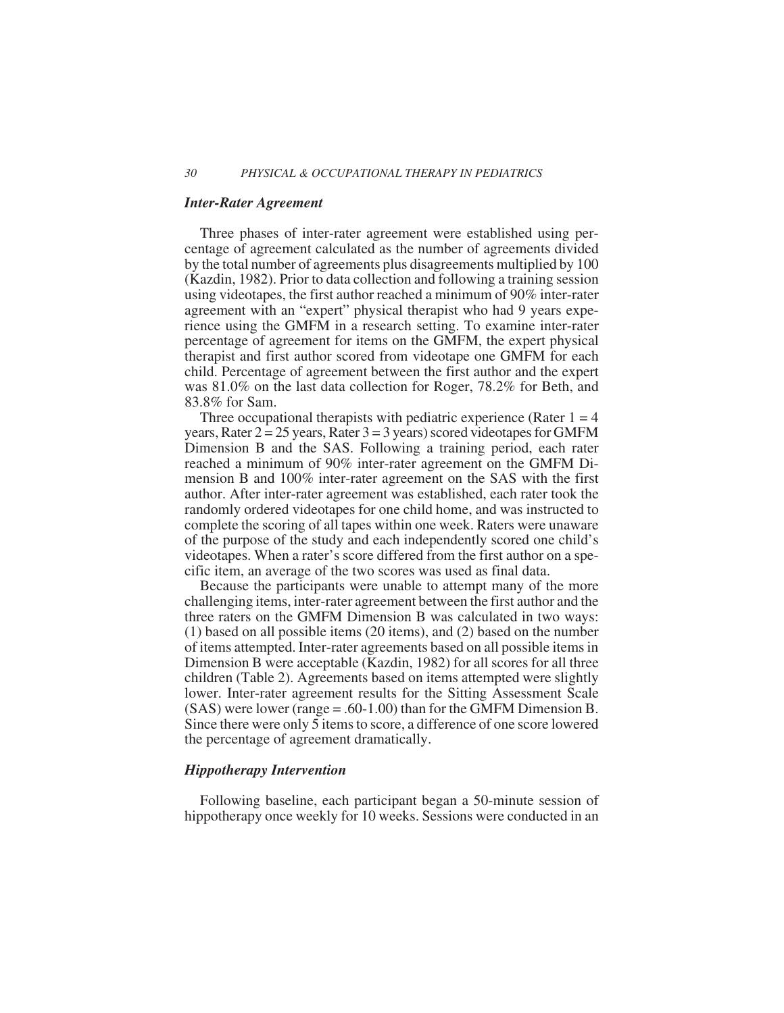# *Inter-Rater Agreement*

Three phases of inter-rater agreement were established using percentage of agreement calculated as the number of agreements divided by the total number of agreements plus disagreements multiplied by 100 (Kazdin, 1982). Prior to data collection and following a training session using videotapes, the first author reached a minimum of 90% inter-rater agreement with an "expert" physical therapist who had 9 years experience using the GMFM in a research setting. To examine inter-rater percentage of agreement for items on the GMFM, the expert physical therapist and first author scored from videotape one GMFM for each child. Percentage of agreement between the first author and the expert was 81.0% on the last data collection for Roger, 78.2% for Beth, and 83.8% for Sam.

Three occupational therapists with pediatric experience (Rater  $1 = 4$ ) years, Rater  $2 = 25$  years, Rater  $3 = 3$  years) scored videotapes for GMFM Dimension B and the SAS. Following a training period, each rater reached a minimum of 90% inter-rater agreement on the GMFM Dimension B and 100% inter-rater agreement on the SAS with the first author. After inter-rater agreement was established, each rater took the randomly ordered videotapes for one child home, and was instructed to complete the scoring of all tapes within one week. Raters were unaware of the purpose of the study and each independently scored one child's videotapes. When a rater's score differed from the first author on a specific item, an average of the two scores was used as final data.

Because the participants were unable to attempt many of the more challenging items, inter-rater agreement between the first author and the three raters on the GMFM Dimension B was calculated in two ways: (1) based on all possible items (20 items), and (2) based on the number of items attempted. Inter-rater agreements based on all possible items in Dimension B were acceptable (Kazdin, 1982) for all scores for all three children (Table 2). Agreements based on items attempted were slightly lower. Inter-rater agreement results for the Sitting Assessment Scale (SAS) were lower (range = .60-1.00) than for the GMFM Dimension B. Since there were only 5 items to score, a difference of one score lowered the percentage of agreement dramatically.

## *Hippotherapy Intervention*

Following baseline, each participant began a 50-minute session of hippotherapy once weekly for 10 weeks. Sessions were conducted in an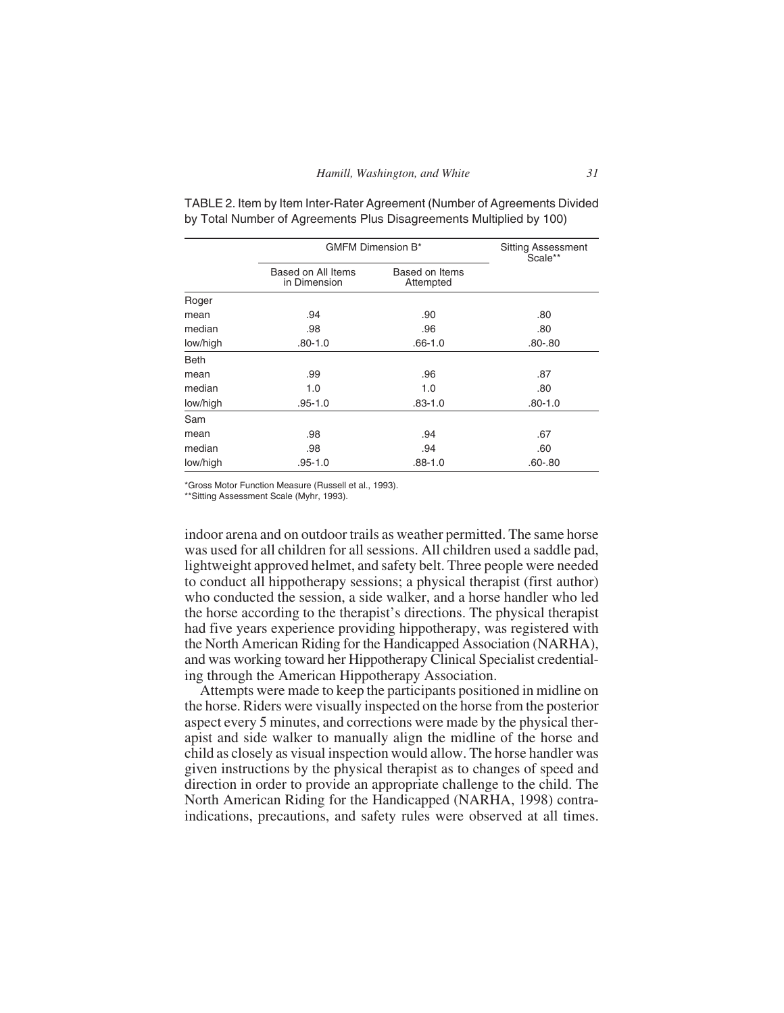|             | <b>GMFM Dimension B*</b>           |                             | <b>Sitting Assessment</b><br>Scale** |
|-------------|------------------------------------|-----------------------------|--------------------------------------|
|             | Based on All Items<br>in Dimension | Based on Items<br>Attempted |                                      |
| Roger       |                                    |                             |                                      |
| mean        | .94                                | .90                         | .80                                  |
| median      | .98                                | .96                         | .80                                  |
| low/high    | $.80 - 1.0$                        | .66-1.0                     | $.80 - .80$                          |
| <b>Beth</b> |                                    |                             |                                      |
| mean        | .99                                | .96                         | .87                                  |
| median      | 1.0                                | 1.0                         | .80                                  |
| low/high    | $.95 - 1.0$                        | $.83 - 1.0$                 | $.80 - 1.0$                          |
| Sam         |                                    |                             |                                      |
| mean        | .98                                | .94                         | .67                                  |
| median      | .98                                | .94                         | .60                                  |
| low/high    | $.95 - 1.0$                        | $.88 - 1.0$                 | $.60 - .80$                          |

TABLE 2. Item by Item Inter-Rater Agreement (Number of Agreements Divided by Total Number of Agreements Plus Disagreements Multiplied by 100)

\*Gross Motor Function Measure (Russell et al., 1993).

\*\*Sitting Assessment Scale (Myhr, 1993).

indoor arena and on outdoor trails as weather permitted. The same horse was used for all children for all sessions. All children used a saddle pad, lightweight approved helmet, and safety belt. Three people were needed to conduct all hippotherapy sessions; a physical therapist (first author) who conducted the session, a side walker, and a horse handler who led the horse according to the therapist's directions. The physical therapist had five years experience providing hippotherapy, was registered with the North American Riding for the Handicapped Association (NARHA), and was working toward her Hippotherapy Clinical Specialist credentialing through the American Hippotherapy Association.

Attempts were made to keep the participants positioned in midline on the horse. Riders were visually inspected on the horse from the posterior aspect every 5 minutes, and corrections were made by the physical therapist and side walker to manually align the midline of the horse and child as closely as visual inspection would allow. The horse handler was given instructions by the physical therapist as to changes of speed and direction in order to provide an appropriate challenge to the child. The North American Riding for the Handicapped (NARHA, 1998) contraindications, precautions, and safety rules were observed at all times.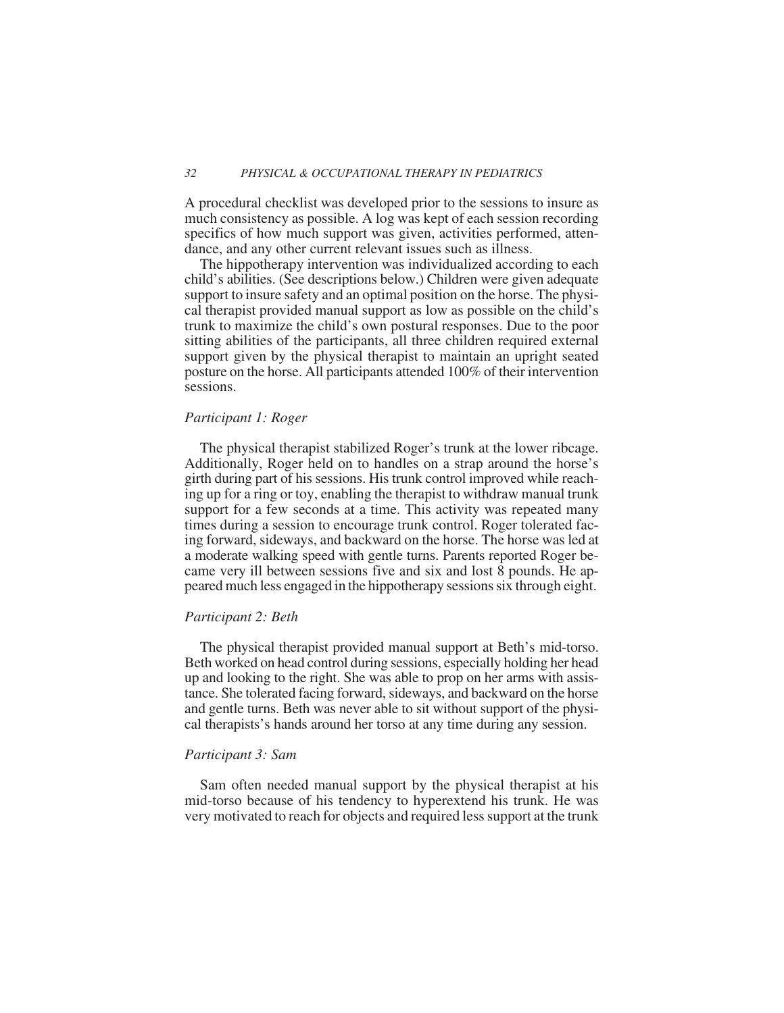A procedural checklist was developed prior to the sessions to insure as much consistency as possible. A log was kept of each session recording specifics of how much support was given, activities performed, attendance, and any other current relevant issues such as illness.

The hippotherapy intervention was individualized according to each child's abilities. (See descriptions below.) Children were given adequate support to insure safety and an optimal position on the horse. The physical therapist provided manual support as low as possible on the child's trunk to maximize the child's own postural responses. Due to the poor sitting abilities of the participants, all three children required external support given by the physical therapist to maintain an upright seated posture on the horse. All participants attended 100% of their intervention sessions.

## *Participant 1: Roger*

The physical therapist stabilized Roger's trunk at the lower ribcage. Additionally, Roger held on to handles on a strap around the horse's girth during part of his sessions. His trunk control improved while reaching up for a ring or toy, enabling the therapist to withdraw manual trunk support for a few seconds at a time. This activity was repeated many times during a session to encourage trunk control. Roger tolerated facing forward, sideways, and backward on the horse. The horse was led at a moderate walking speed with gentle turns. Parents reported Roger became very ill between sessions five and six and lost 8 pounds. He appeared much less engaged in the hippotherapy sessions six through eight.

## *Participant 2: Beth*

The physical therapist provided manual support at Beth's mid-torso. Beth worked on head control during sessions, especially holding her head up and looking to the right. She was able to prop on her arms with assistance. She tolerated facing forward, sideways, and backward on the horse and gentle turns. Beth was never able to sit without support of the physical therapists's hands around her torso at any time during any session.

## *Participant 3: Sam*

Sam often needed manual support by the physical therapist at his mid-torso because of his tendency to hyperextend his trunk. He was very motivated to reach for objects and required less support at the trunk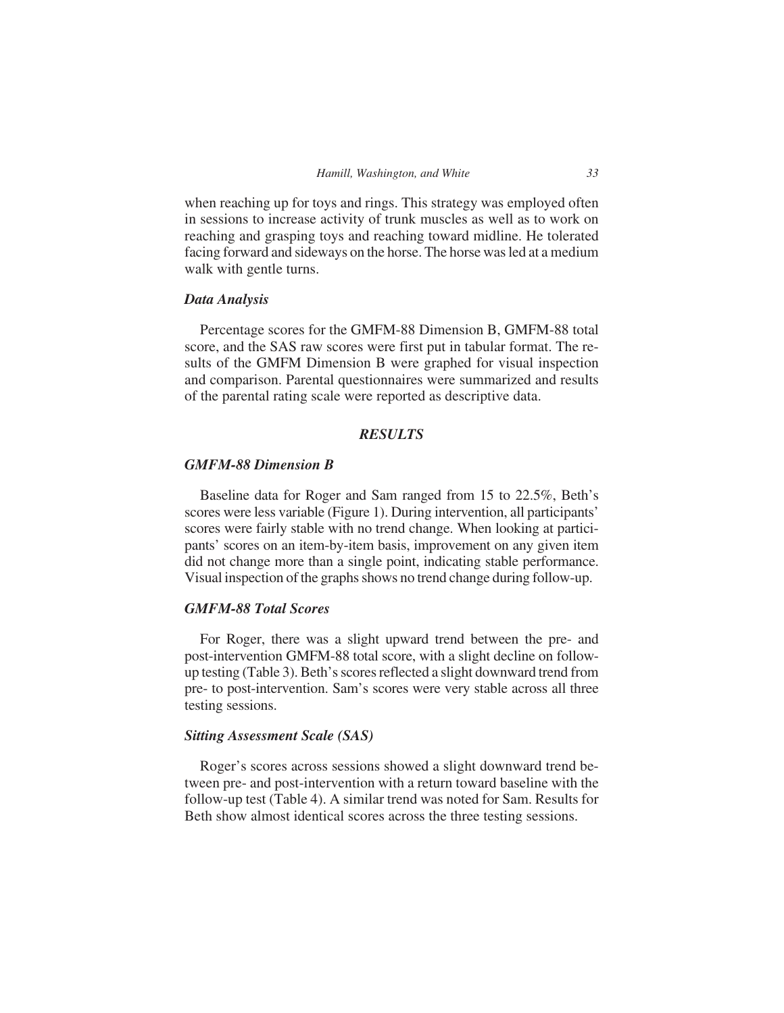when reaching up for toys and rings. This strategy was employed often in sessions to increase activity of trunk muscles as well as to work on reaching and grasping toys and reaching toward midline. He tolerated facing forward and sideways on the horse. The horse was led at a medium walk with gentle turns.

#### *Data Analysis*

Percentage scores for the GMFM-88 Dimension B, GMFM-88 total score, and the SAS raw scores were first put in tabular format. The results of the GMFM Dimension B were graphed for visual inspection and comparison. Parental questionnaires were summarized and results of the parental rating scale were reported as descriptive data.

## *RESULTS*

# *GMFM-88 Dimension B*

Baseline data for Roger and Sam ranged from 15 to 22.5%, Beth's scores were less variable (Figure 1). During intervention, all participants' scores were fairly stable with no trend change. When looking at participants' scores on an item-by-item basis, improvement on any given item did not change more than a single point, indicating stable performance. Visual inspection of the graphs shows no trend change during follow-up.

## *GMFM-88 Total Scores*

For Roger, there was a slight upward trend between the pre- and post-intervention GMFM-88 total score, with a slight decline on followup testing (Table 3). Beth's scores reflected a slight downward trend from pre- to post-intervention. Sam's scores were very stable across all three testing sessions.

### *Sitting Assessment Scale (SAS)*

Roger's scores across sessions showed a slight downward trend between pre- and post-intervention with a return toward baseline with the follow-up test (Table 4). A similar trend was noted for Sam. Results for Beth show almost identical scores across the three testing sessions.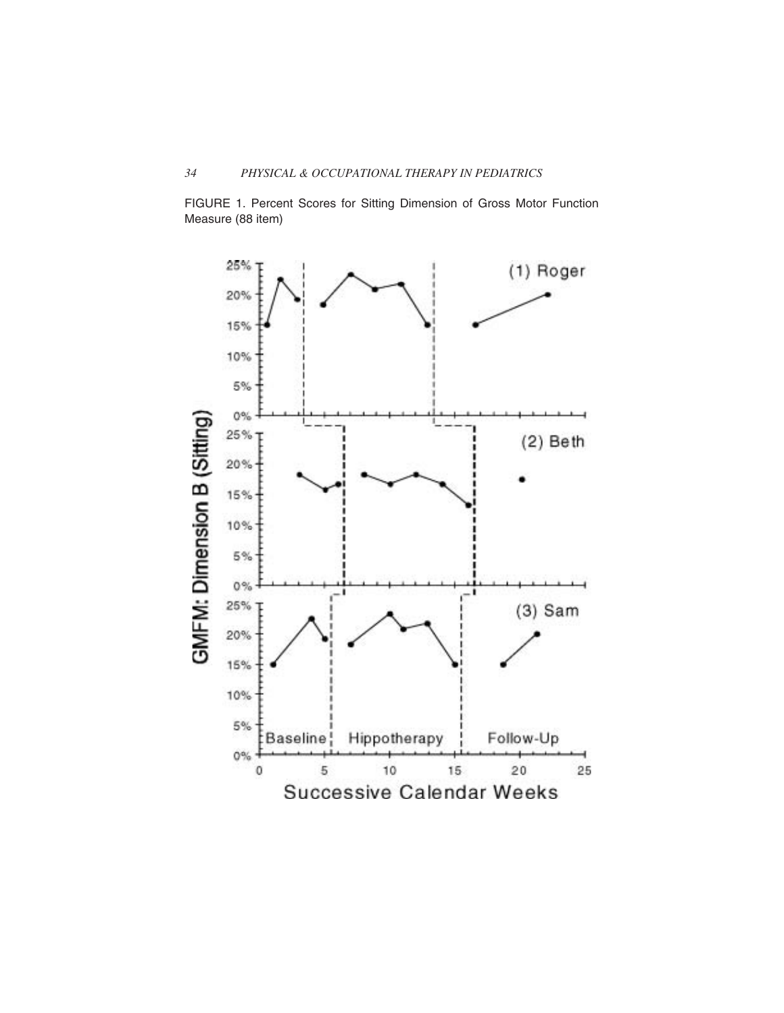FIGURE 1. Percent Scores for Sitting Dimension of Gross Motor Function Measure (88 item)

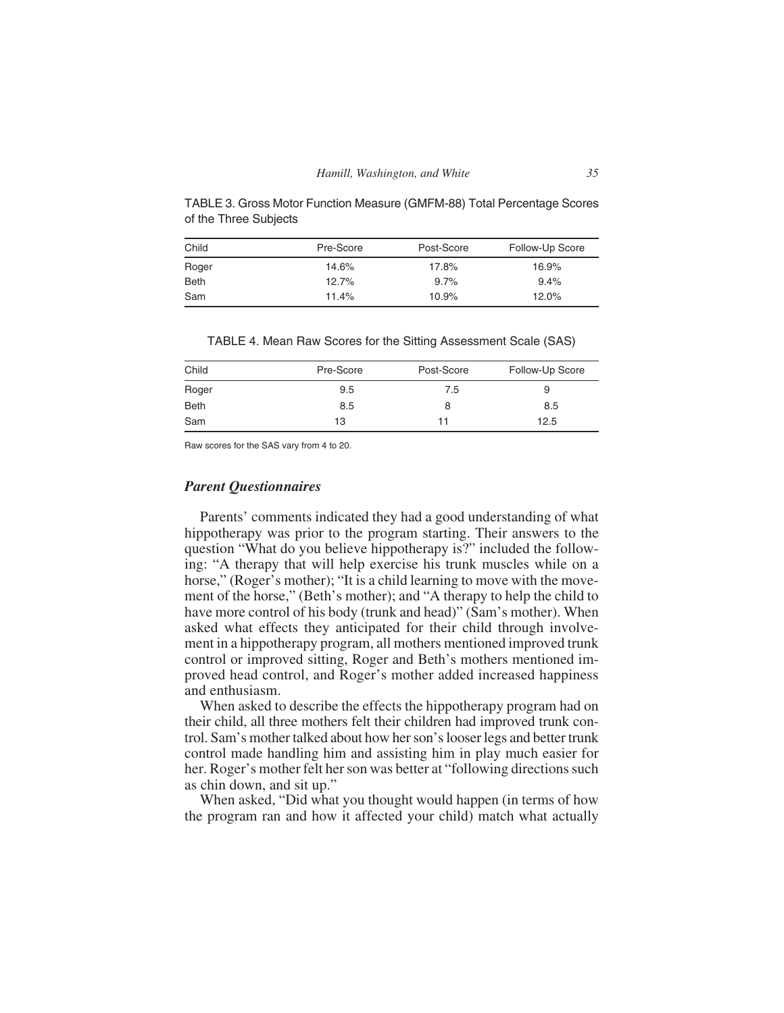TABLE 3. Gross Motor Function Measure (GMFM-88) Total Percentage Scores of the Three Subjects

| Child       | Pre-Score | Post-Score | Follow-Up Score |
|-------------|-----------|------------|-----------------|
| Roger       | 14.6%     | 17.8%      | 16.9%           |
| <b>Beth</b> | 12.7%     | 9.7%       | 9.4%            |
| Sam         | 11.4%     | 10.9%      | 12.0%           |

TABLE 4. Mean Raw Scores for the Sitting Assessment Scale (SAS)

| Child       | Pre-Score | Post-Score | Follow-Up Score |
|-------------|-----------|------------|-----------------|
| Roger       | 9.5       | 7.5        | 9               |
| <b>Beth</b> | 8.5       | 8          | 8.5             |
| Sam         | 13        |            | 12.5            |

Raw scores for the SAS vary from 4 to 20.

## *Parent Questionnaires*

Parents' comments indicated they had a good understanding of what hippotherapy was prior to the program starting. Their answers to the question "What do you believe hippotherapy is?" included the following: "A therapy that will help exercise his trunk muscles while on a horse," (Roger's mother); "It is a child learning to move with the movement of the horse," (Beth's mother); and "A therapy to help the child to have more control of his body (trunk and head)" (Sam's mother). When asked what effects they anticipated for their child through involvement in a hippotherapy program, all mothers mentioned improved trunk control or improved sitting, Roger and Beth's mothers mentioned improved head control, and Roger's mother added increased happiness and enthusiasm.

When asked to describe the effects the hippotherapy program had on their child, all three mothers felt their children had improved trunk control. Sam's mother talked about how her son's looser legs and better trunk control made handling him and assisting him in play much easier for her. Roger's mother felt her son was better at "following directions such as chin down, and sit up."

When asked, "Did what you thought would happen (in terms of how the program ran and how it affected your child) match what actually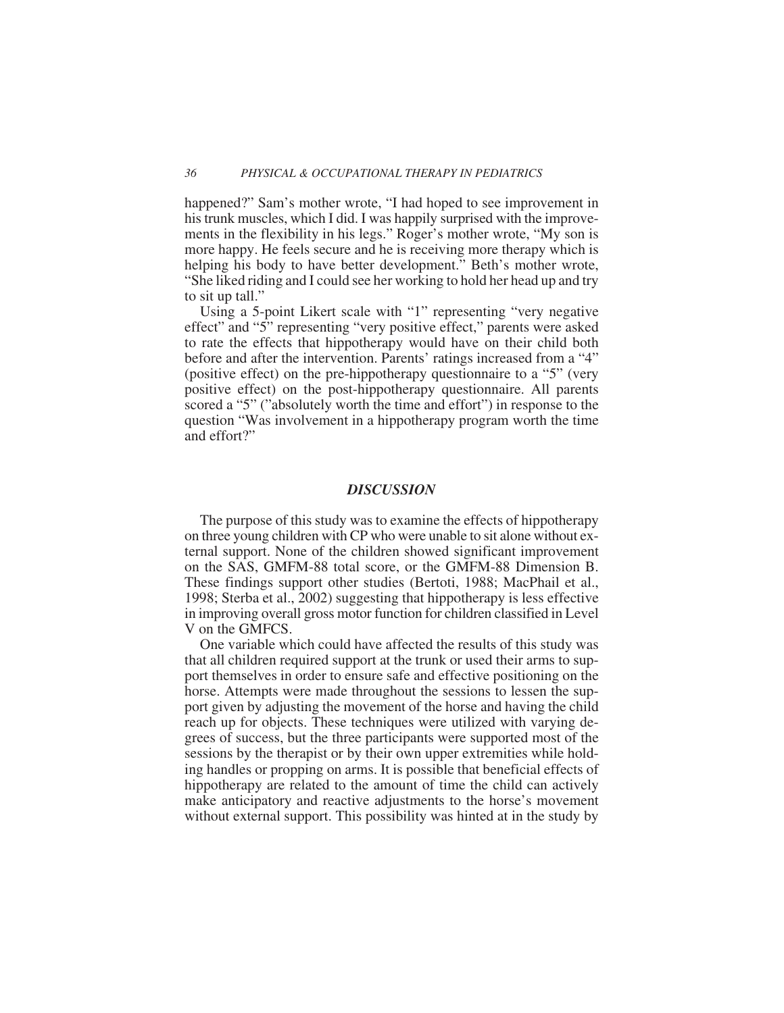happened?" Sam's mother wrote, "I had hoped to see improvement in his trunk muscles, which I did. I was happily surprised with the improvements in the flexibility in his legs." Roger's mother wrote, "My son is more happy. He feels secure and he is receiving more therapy which is helping his body to have better development." Beth's mother wrote, "She liked riding and I could see her working to hold her head up and try to sit up tall."

Using a 5-point Likert scale with "1" representing "very negative effect" and "5" representing "very positive effect," parents were asked to rate the effects that hippotherapy would have on their child both before and after the intervention. Parents' ratings increased from a "4" (positive effect) on the pre-hippotherapy questionnaire to a "5" (very positive effect) on the post-hippotherapy questionnaire. All parents scored a "5" ("absolutely worth the time and effort") in response to the question "Was involvement in a hippotherapy program worth the time and effort?"

## *DISCUSSION*

The purpose of this study was to examine the effects of hippotherapy on three young children with CP who were unable to sit alone without external support. None of the children showed significant improvement on the SAS, GMFM-88 total score, or the GMFM-88 Dimension B. These findings support other studies (Bertoti, 1988; MacPhail et al., 1998; Sterba et al., 2002) suggesting that hippotherapy is less effective in improving overall gross motor function for children classified in Level V on the GMFCS.

One variable which could have affected the results of this study was that all children required support at the trunk or used their arms to support themselves in order to ensure safe and effective positioning on the horse. Attempts were made throughout the sessions to lessen the support given by adjusting the movement of the horse and having the child reach up for objects. These techniques were utilized with varying degrees of success, but the three participants were supported most of the sessions by the therapist or by their own upper extremities while holding handles or propping on arms. It is possible that beneficial effects of hippotherapy are related to the amount of time the child can actively make anticipatory and reactive adjustments to the horse's movement without external support. This possibility was hinted at in the study by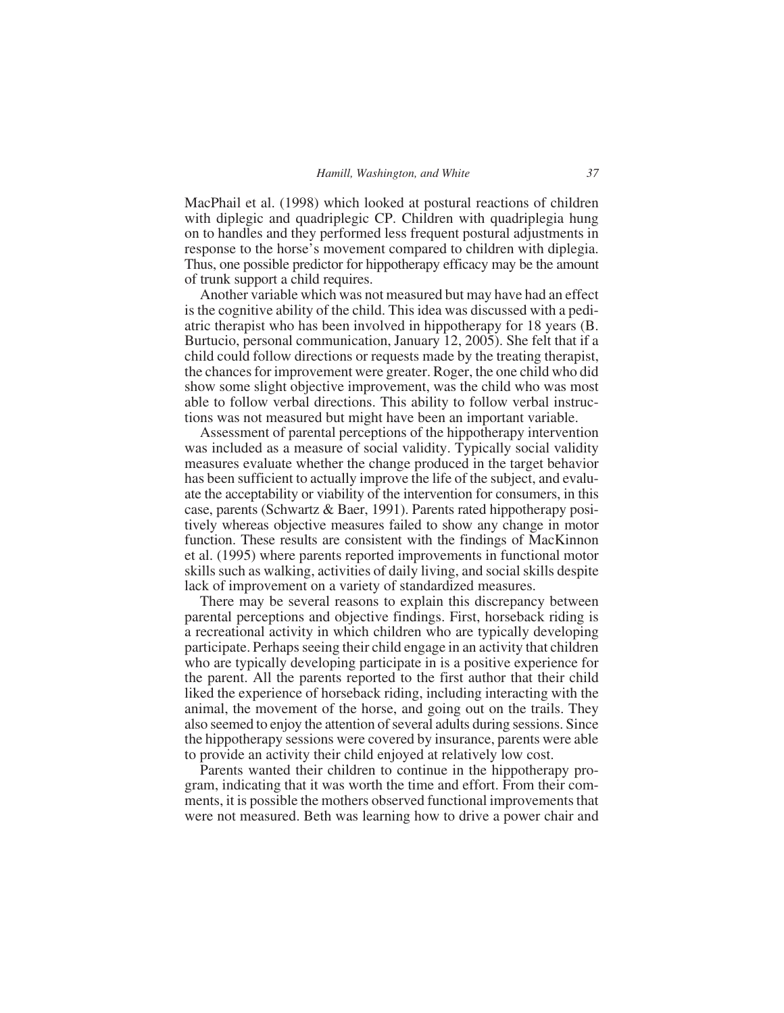MacPhail et al. (1998) which looked at postural reactions of children with diplegic and quadriplegic CP. Children with quadriplegia hung on to handles and they performed less frequent postural adjustments in response to the horse's movement compared to children with diplegia. Thus, one possible predictor for hippotherapy efficacy may be the amount of trunk support a child requires.

Another variable which was not measured but may have had an effect is the cognitive ability of the child. This idea was discussed with a pediatric therapist who has been involved in hippotherapy for 18 years (B. Burtucio, personal communication, January 12, 2005). She felt that if a child could follow directions or requests made by the treating therapist, the chances for improvement were greater. Roger, the one child who did show some slight objective improvement, was the child who was most able to follow verbal directions. This ability to follow verbal instructions was not measured but might have been an important variable.

Assessment of parental perceptions of the hippotherapy intervention was included as a measure of social validity. Typically social validity measures evaluate whether the change produced in the target behavior has been sufficient to actually improve the life of the subject, and evaluate the acceptability or viability of the intervention for consumers, in this case, parents (Schwartz & Baer, 1991). Parents rated hippotherapy positively whereas objective measures failed to show any change in motor function. These results are consistent with the findings of MacKinnon et al. (1995) where parents reported improvements in functional motor skills such as walking, activities of daily living, and social skills despite lack of improvement on a variety of standardized measures.

There may be several reasons to explain this discrepancy between parental perceptions and objective findings. First, horseback riding is a recreational activity in which children who are typically developing participate. Perhaps seeing their child engage in an activity that children who are typically developing participate in is a positive experience for the parent. All the parents reported to the first author that their child liked the experience of horseback riding, including interacting with the animal, the movement of the horse, and going out on the trails. They also seemed to enjoy the attention of several adults during sessions. Since the hippotherapy sessions were covered by insurance, parents were able to provide an activity their child enjoyed at relatively low cost.

Parents wanted their children to continue in the hippotherapy program, indicating that it was worth the time and effort. From their comments, it is possible the mothers observed functional improvements that were not measured. Beth was learning how to drive a power chair and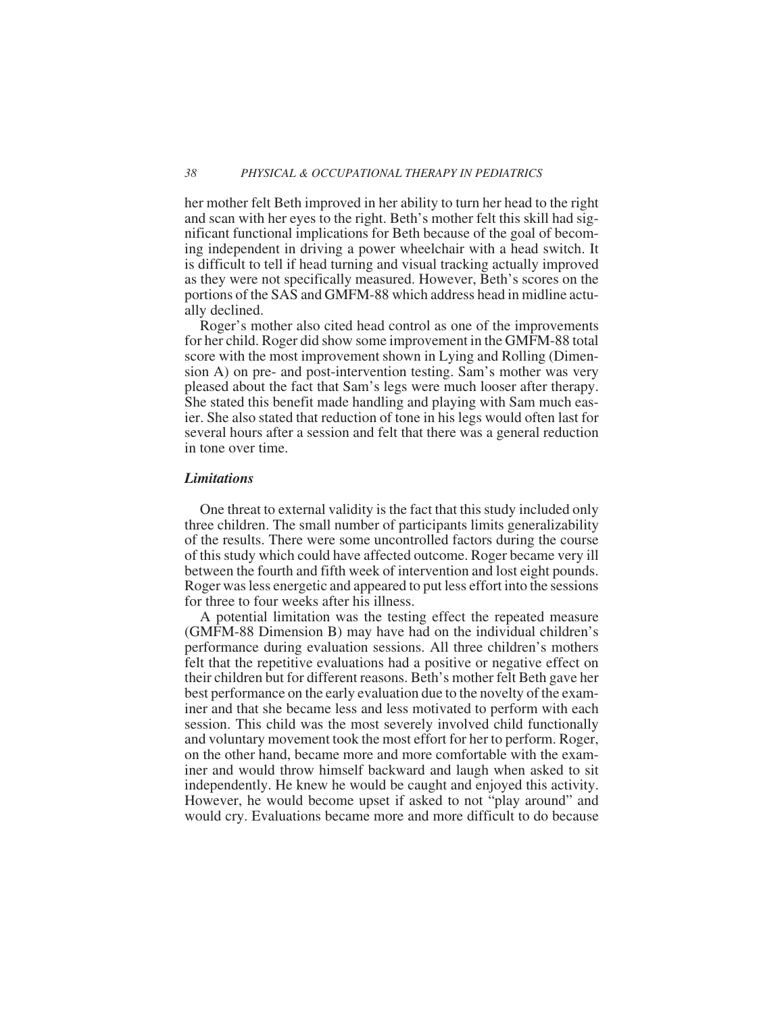her mother felt Beth improved in her ability to turn her head to the right and scan with her eyes to the right. Beth's mother felt this skill had significant functional implications for Beth because of the goal of becoming independent in driving a power wheelchair with a head switch. It is difficult to tell if head turning and visual tracking actually improved as they were not specifically measured. However, Beth's scores on the portions of the SAS and GMFM-88 which address head in midline actually declined.

Roger's mother also cited head control as one of the improvements for her child. Roger did show some improvement in the GMFM-88 total score with the most improvement shown in Lying and Rolling (Dimension A) on pre- and post-intervention testing. Sam's mother was very pleased about the fact that Sam's legs were much looser after therapy. She stated this benefit made handling and playing with Sam much easier. She also stated that reduction of tone in his legs would often last for several hours after a session and felt that there was a general reduction in tone over time.

#### *Limitations*

One threat to external validity is the fact that this study included only three children. The small number of participants limits generalizability of the results. There were some uncontrolled factors during the course of this study which could have affected outcome. Roger became very ill between the fourth and fifth week of intervention and lost eight pounds. Roger was less energetic and appeared to put less effort into the sessions for three to four weeks after his illness.

A potential limitation was the testing effect the repeated measure (GMFM-88 Dimension B) may have had on the individual children's performance during evaluation sessions. All three children's mothers felt that the repetitive evaluations had a positive or negative effect on their children but for different reasons. Beth's mother felt Beth gave her best performance on the early evaluation due to the novelty of the examiner and that she became less and less motivated to perform with each session. This child was the most severely involved child functionally and voluntary movement took the most effort for her to perform. Roger, on the other hand, became more and more comfortable with the examiner and would throw himself backward and laugh when asked to sit independently. He knew he would be caught and enjoyed this activity. However, he would become upset if asked to not "play around" and would cry. Evaluations became more and more difficult to do because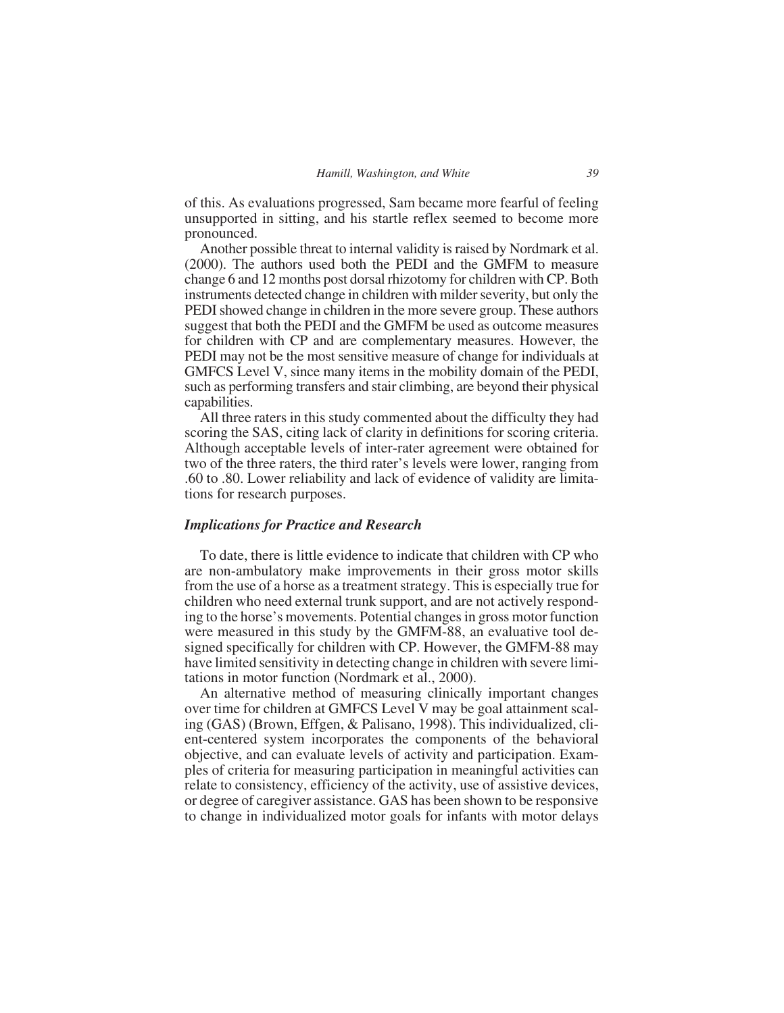of this. As evaluations progressed, Sam became more fearful of feeling unsupported in sitting, and his startle reflex seemed to become more pronounced.

Another possible threat to internal validity is raised by Nordmark et al. (2000). The authors used both the PEDI and the GMFM to measure change 6 and 12 months post dorsal rhizotomy for children with CP. Both instruments detected change in children with milder severity, but only the PEDI showed change in children in the more severe group. These authors suggest that both the PEDI and the GMFM be used as outcome measures for children with CP and are complementary measures. However, the PEDI may not be the most sensitive measure of change for individuals at GMFCS Level V, since many items in the mobility domain of the PEDI, such as performing transfers and stair climbing, are beyond their physical capabilities.

All three raters in this study commented about the difficulty they had scoring the SAS, citing lack of clarity in definitions for scoring criteria. Although acceptable levels of inter-rater agreement were obtained for two of the three raters, the third rater's levels were lower, ranging from .60 to .80. Lower reliability and lack of evidence of validity are limitations for research purposes.

## *Implications for Practice and Research*

To date, there is little evidence to indicate that children with CP who are non-ambulatory make improvements in their gross motor skills from the use of a horse as a treatment strategy. This is especially true for children who need external trunk support, and are not actively responding to the horse's movements. Potential changes in gross motor function were measured in this study by the GMFM-88, an evaluative tool designed specifically for children with CP. However, the GMFM-88 may have limited sensitivity in detecting change in children with severe limitations in motor function (Nordmark et al., 2000).

An alternative method of measuring clinically important changes over time for children at GMFCS Level V may be goal attainment scaling (GAS) (Brown, Effgen, & Palisano, 1998). This individualized, client-centered system incorporates the components of the behavioral objective, and can evaluate levels of activity and participation. Examples of criteria for measuring participation in meaningful activities can relate to consistency, efficiency of the activity, use of assistive devices, or degree of caregiver assistance. GAS has been shown to be responsive to change in individualized motor goals for infants with motor delays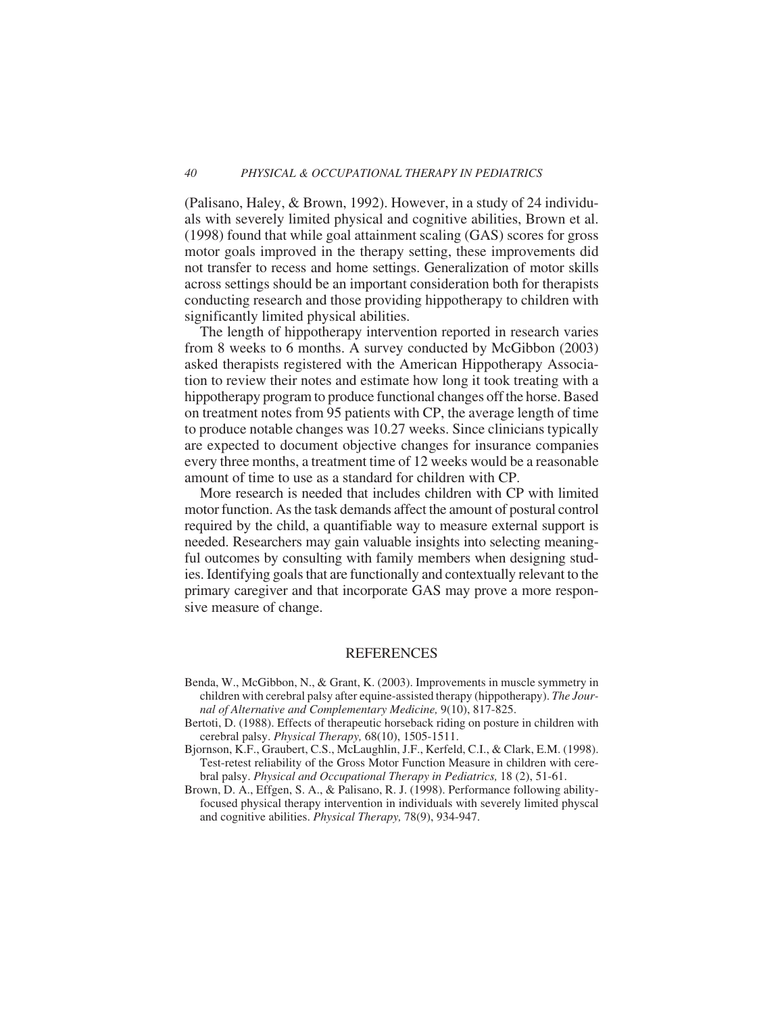(Palisano, Haley, & Brown, 1992). However, in a study of 24 individuals with severely limited physical and cognitive abilities, Brown et al. (1998) found that while goal attainment scaling (GAS) scores for gross motor goals improved in the therapy setting, these improvements did not transfer to recess and home settings. Generalization of motor skills across settings should be an important consideration both for therapists conducting research and those providing hippotherapy to children with significantly limited physical abilities.

The length of hippotherapy intervention reported in research varies from 8 weeks to 6 months. A survey conducted by McGibbon (2003) asked therapists registered with the American Hippotherapy Association to review their notes and estimate how long it took treating with a hippotherapy program to produce functional changes off the horse. Based on treatment notes from 95 patients with CP, the average length of time to produce notable changes was 10.27 weeks. Since clinicians typically are expected to document objective changes for insurance companies every three months, a treatment time of 12 weeks would be a reasonable amount of time to use as a standard for children with CP.

More research is needed that includes children with CP with limited motor function. As the task demands affect the amount of postural control required by the child, a quantifiable way to measure external support is needed. Researchers may gain valuable insights into selecting meaningful outcomes by consulting with family members when designing studies. Identifying goals that are functionally and contextually relevant to the primary caregiver and that incorporate GAS may prove a more responsive measure of change.

# REFERENCES

- Benda, W., McGibbon, N., & Grant, K. (2003). Improvements in muscle symmetry in children with cerebral palsy after equine-assisted therapy (hippotherapy). *The Journal of Alternative and Complementary Medicine,* 9(10), 817-825.
- Bertoti, D. (1988). Effects of therapeutic horseback riding on posture in children with cerebral palsy. *Physical Therapy,* 68(10), 1505-1511.
- Bjornson, K.F., Graubert, C.S., McLaughlin, J.F., Kerfeld, C.I., & Clark, E.M. (1998). Test-retest reliability of the Gross Motor Function Measure in children with cerebral palsy. *Physical and Occupational Therapy in Pediatrics,* 18 (2), 51-61.
- Brown, D. A., Effgen, S. A., & Palisano, R. J. (1998). Performance following abilityfocused physical therapy intervention in individuals with severely limited physcal and cognitive abilities. *Physical Therapy,* 78(9), 934-947.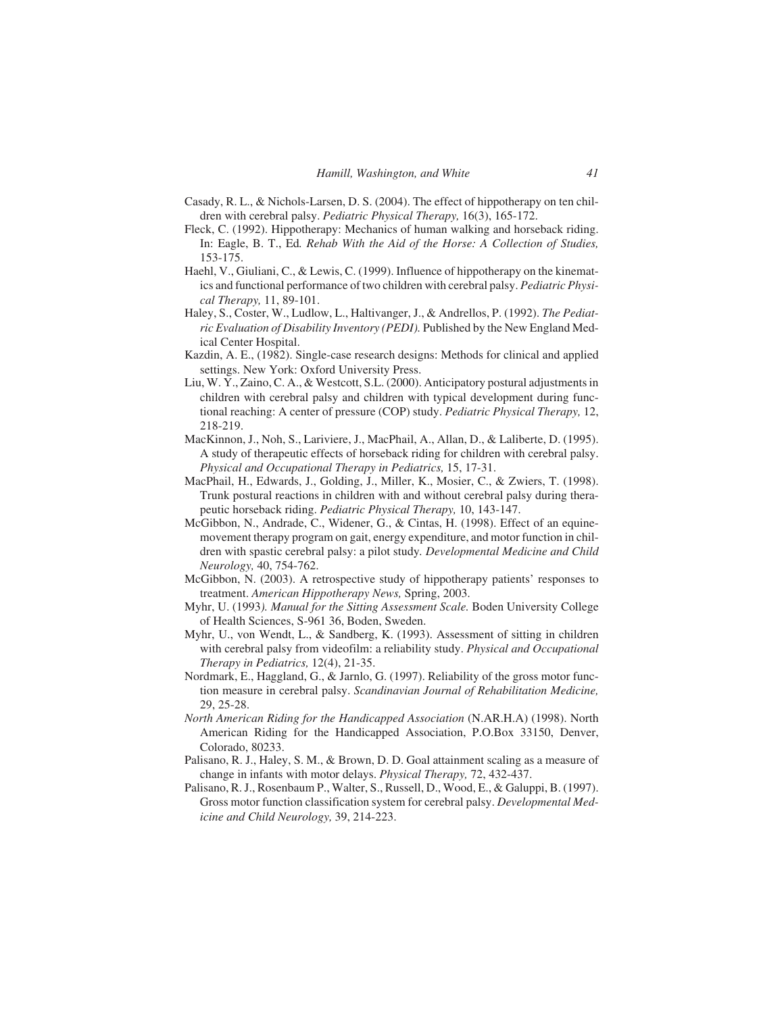- Casady, R. L., & Nichols-Larsen, D. S. (2004). The effect of hippotherapy on ten children with cerebral palsy. *Pediatric Physical Therapy,* 16(3), 165-172.
- Fleck, C. (1992). Hippotherapy: Mechanics of human walking and horseback riding. In: Eagle, B. T., Ed*. Rehab With the Aid of the Horse: A Collection of Studies,* 153-175.
- Haehl, V., Giuliani, C., & Lewis, C. (1999). Influence of hippotherapy on the kinematics and functional performance of two children with cerebral palsy. *Pediatric Physical Therapy,* 11, 89-101.
- Haley, S., Coster, W., Ludlow, L., Haltivanger, J., & Andrellos, P. (1992). *The Pediatric Evaluation of Disability Inventory (PEDI).* Published by the New England Medical Center Hospital.
- Kazdin, A. E., (1982). Single-case research designs: Methods for clinical and applied settings. New York: Oxford University Press.
- Liu, W. Y., Zaino, C. A., & Westcott, S.L. (2000). Anticipatory postural adjustments in children with cerebral palsy and children with typical development during functional reaching: A center of pressure (COP) study. *Pediatric Physical Therapy,* 12, 218-219.
- MacKinnon, J., Noh, S., Lariviere, J., MacPhail, A., Allan, D., & Laliberte, D. (1995). A study of therapeutic effects of horseback riding for children with cerebral palsy. *Physical and Occupational Therapy in Pediatrics,* 15, 17-31.
- MacPhail, H., Edwards, J., Golding, J., Miller, K., Mosier, C., & Zwiers, T. (1998). Trunk postural reactions in children with and without cerebral palsy during therapeutic horseback riding. *Pediatric Physical Therapy,* 10, 143-147.
- McGibbon, N., Andrade, C., Widener, G., & Cintas, H. (1998). Effect of an equinemovement therapy program on gait, energy expenditure, and motor function in children with spastic cerebral palsy: a pilot study*. Developmental Medicine and Child Neurology,* 40, 754-762.
- McGibbon, N. (2003). A retrospective study of hippotherapy patients' responses to treatment. *American Hippotherapy News,* Spring, 2003.
- Myhr, U. (1993*). Manual for the Sitting Assessment Scale.* Boden University College of Health Sciences, S-961 36, Boden, Sweden.
- Myhr, U., von Wendt, L., & Sandberg, K. (1993). Assessment of sitting in children with cerebral palsy from videofilm: a reliability study. *Physical and Occupational Therapy in Pediatrics,* 12(4), 21-35.
- Nordmark, E., Haggland, G., & Jarnlo, G. (1997). Reliability of the gross motor function measure in cerebral palsy. *Scandinavian Journal of Rehabilitation Medicine,* 29, 25-28.
- *North American Riding for the Handicapped Association* (N.AR.H.A) (1998). North American Riding for the Handicapped Association, P.O.Box 33150, Denver, Colorado, 80233.
- Palisano, R. J., Haley, S. M., & Brown, D. D. Goal attainment scaling as a measure of change in infants with motor delays. *Physical Therapy,* 72, 432-437.
- Palisano, R. J., Rosenbaum P., Walter, S., Russell, D., Wood, E., & Galuppi, B. (1997). Gross motor function classification system for cerebral palsy. *Developmental Medicine and Child Neurology,* 39, 214-223.